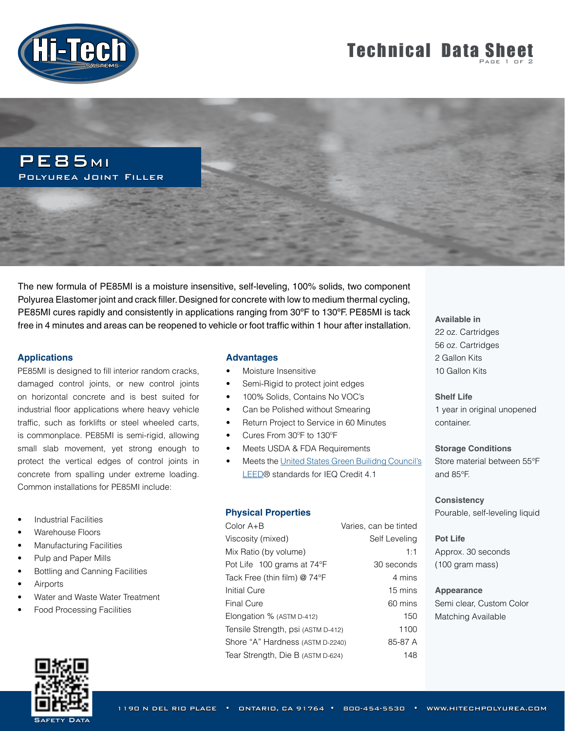

# **Technical Data Sheet**

PE85MI Polyurea Joint Filler

The new formula of PE85MI is a moisture insensitive, self-leveling, 100% solids, two component Polyurea Elastomer joint and crack filler. Designed for concrete with low to medium thermal cycling, PE85MI cures rapidly and consistently in applications ranging from 30ºF to 130ºF. PE85MI is tack free in 4 minutes and areas can be reopened to vehicle or foot traffic within 1 hour after installation.

# **Applications**

PE85MI is designed to fill interior random cracks, damaged control joints, or new control joints on horizontal concrete and is best suited for industrial floor applications where heavy vehicle traffic, such as forklifts or steel wheeled carts, is commonplace. PE85MI is semi-rigid, allowing small slab movement, yet strong enough to protect the vertical edges of control joints in concrete from spalling under extreme loading. Common installations for PE85MI include:

- **Industrial Facilities**
- Warehouse Floors
- Manufacturing Facilities
- Pulp and Paper Mills
- Bottling and Canning Facilities
- **Airports**
- Water and Waste Water Treatment
- Food Processing Facilities



## **Advantages**

- Moisture Insensitive
- Semi-Rigid to protect joint edges
- 100% Solids, Contains No VOC's
- Can be Polished without Smearing
- Return Project to Service in 60 Minutes
- Cures From 30ºF to 130ºF
- Meets USDA & FDA Requirements
- Meets the [United States Green Builidng Council's](http://www.usgbc.org/LEED) [LEED](http://www.usgbc.org/LEED)® standards for IEQ Credit 4.1

# **Physical Properties**

| Color $A + B$                      | Varies, can be tinted |
|------------------------------------|-----------------------|
| Viscosity (mixed)                  | Self Leveling         |
| Mix Ratio (by volume)              | 1:1                   |
| Pot Life 100 grams at 74°F         | 30 seconds            |
| Tack Free (thin film) @ 74°F       | 4 mins                |
| <b>Initial Cure</b>                | 15 mins               |
| <b>Final Cure</b>                  | 60 mins               |
| Elongation % (ASTM D-412)          | 150                   |
| Tensile Strength, psi (ASTM D-412) | 1100                  |
| Shore "A" Hardness (ASTM D-2240)   | 85-87 A               |
| Tear Strength, Die B (ASTM D-624)  | 148                   |

**Available in** 22 oz. Cartridges 56 oz. Cartridges 2 Gallon Kits 10 Gallon Kits

#### **Shelf Life**

1 year in original unopened container.

#### **Storage Conditions**

Store material between 55°F and 85°F.

# **Consistency** Pourable, self-leveling liquid

## **Pot Life**

Approx. 30 seconds (100 gram mass)

### **Appearance**

Semi clear, Custom Color Matching Available